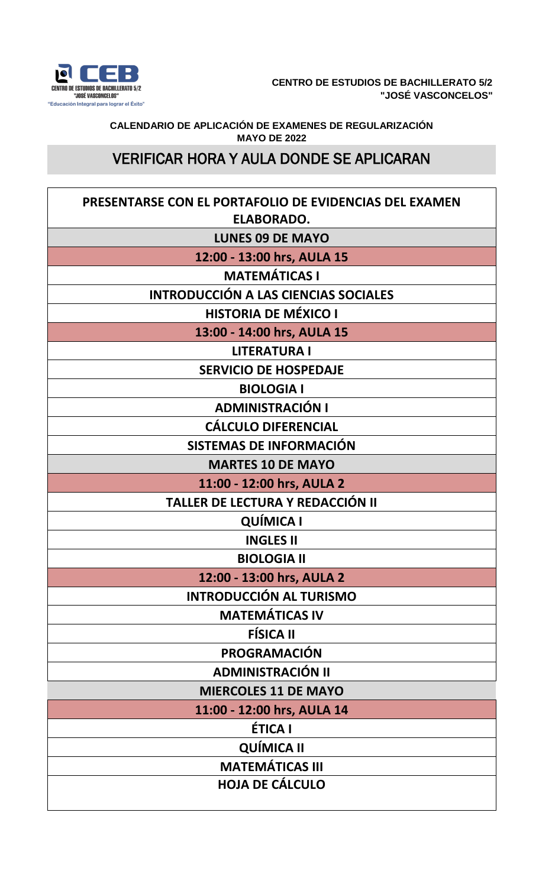

**CALENDARIO DE APLICACIÓN DE EXAMENES DE REGULARIZACIÓN MAYO DE 2022**

## VERIFICAR HORA Y AULA DONDE SE APLICARAN

| PRESENTARSE CON EL PORTAFOLIO DE EVIDENCIAS DEL EXAMEN<br><b>ELABORADO.</b> |
|-----------------------------------------------------------------------------|
| <b>LUNES 09 DE MAYO</b>                                                     |
| 12:00 - 13:00 hrs, AULA 15                                                  |
| <b>MATEMÁTICAS I</b>                                                        |
| <b>INTRODUCCIÓN A LAS CIENCIAS SOCIALES</b>                                 |
| <b>HISTORIA DE MÉXICO I</b>                                                 |
| 13:00 - 14:00 hrs, AULA 15                                                  |
| <b>LITERATURA I</b>                                                         |
| <b>SERVICIO DE HOSPEDAJE</b>                                                |
| <b>BIOLOGIA I</b>                                                           |
| <b>ADMINISTRACIÓN I</b>                                                     |
| <b>CÁLCULO DIFERENCIAL</b>                                                  |
| SISTEMAS DE INFORMACIÓN                                                     |
| <b>MARTES 10 DE MAYO</b>                                                    |
| 11:00 - 12:00 hrs, AULA 2                                                   |
| TALLER DE LECTURA Y REDACCIÓN II                                            |
| <b>QUÍMICA I</b>                                                            |
| <b>INGLES II</b>                                                            |
| <b>BIOLOGIA II</b>                                                          |
| 12:00 - 13:00 hrs, AULA 2                                                   |
| <b>INTRODUCCIÓN AL TURISMO</b>                                              |
| <b>MATEMÁTICAS IV</b>                                                       |
| <b>FÍSICA II</b>                                                            |
| PROGRAMACIÓN                                                                |
| <b>ADMINISTRACIÓN II</b>                                                    |
| <b>MIERCOLES 11 DE MAYO</b>                                                 |
| 11:00 - 12:00 hrs, AULA 14                                                  |
| <b>ÉTICA I</b>                                                              |
| <b>QUÍMICA II</b>                                                           |
| <b>MATEMÁTICAS III</b>                                                      |
| <b>HOJA DE CÁLCULO</b>                                                      |
|                                                                             |